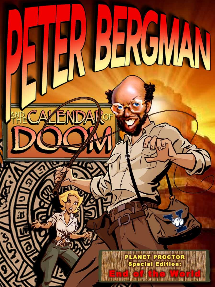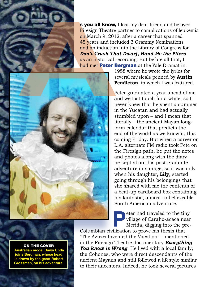

s you all know, I lost my dear friend and beloved Firesign Theatre partner to complications of leukemia on March 9, 2012, after a career that spanned 45 years and included 3 Grammy Nominations and an induction into the Library of Congress for *Don't Crush That Dwarf, Hand Me the Pliers*  as an historical recording. But before all that, I had met Peter Bergman at the Yale Dramat in



1958 where he wrote the lyrics for several musicals penned by **Austin Pendleton**, in which I was featured.

Peter graduated a year ahead of me and we lost touch for a while, so I never knew that he spent a summer in the Yucatan and had actually stumbled upon – and I mean that literally – the ancient Mayan longform calendar that predicts the end of the world as we know it, this coming Friday. But when a career on L.A. alternate FM radio took Pete on the Firesign path, he put the notes and photos along with the diary he kept about his post-graduate adventure in storage; so it was only when his daughter, **Lily**, started going through his belongings that she shared with me the contents of a beat-up cardboard box containing his fantastic, almost unbelieveable South American adventure.

**Peter had traveled to the tiny<br>
village of Caraho-acaca near<br>
Merida, digging into the pre-<br>
ilization to prove his thesis that** village of Caraho-acaca near Merida, digging into the pre-

Columbian civilization to prove his thesis that "The Aztecs Invented the Vacation" – mentioned in the Firesign Theatre documentary *Everything You know is Wrong*. He lived with a local family, the Cohones, who were direct descendants of the ancient Mayans and still followed a lifestyle similar to their ancestors. Indeed, he took several pictures

ON THE COVER  **Australian model Dawn Unda joins Bergman, whose head is drawn by the great Robert Grossman, on his adventure.**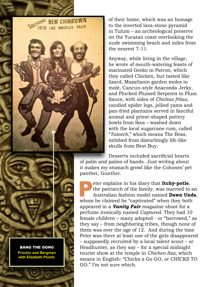NEW CHINATOWN LOS ANGELES CALIF.

BANG THE GONG **Proctor and Bergman with Elizabeth Plumb.**

of their home, which was an homage to the inverted lava-stone pyramid in Tulum – an archeological preserve on the Yucatan coast overlooking the nude swimming beach and miles from the nearest 7-11.

Anyway, while living in the village, he wrote of mouth-watering feasts of marinated Geeko in Patron, which they called Chicken, but tasted like lizard, Mazatlanin garden moles in molé, Cancun-style Anaconda Jerky, and Plucked Plumed Serpents in Plum Sauce, with sides of *Chicitas fritas*, candied spider legs, jellied yams and pan-fried plantains served in fanciful animal and priest-shaped pottery bowls from Ikea – washed down with the local sugarcane rum, called "*Tateech*," which means The Boss, imbibed from disturbingly life-like skulls from Best Buy.

Desserts included sacrificial hearts of palm and palms of hands. Just writing about it makes my stomach growl like the Cohones' pet panther, Gunther.

Peter explains in his diary that **Itchy-potle**, the patriarch of the family, was married to an Australian fashion model named **Dawn Unda**, whom he claimed he "captivated" when they both appeared in a *Vanity Fair* magazine shoot for a perfume ironically named *Captured*. They had 10 female children – many adopted - or "borrowed," as they say – from neighboring tribes, though none of them was over the age of 12. And during the time Peter was there at least one of the girls disappeared – supposedly recruited by a local talent scout – or Headhunter, as they say – for a special midnight tourist show at the temple in *Chichen Itza*, which means in English: "Chicks a Go GO, or CHICKS TO GO." I'm not sure which.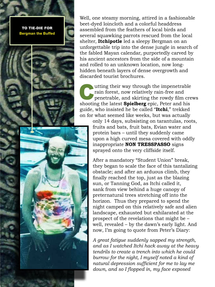## TO TIE-DIE FOR **Bergman the Buffed**



Well, one steamy morning, attired in a fashionable beet-dyed loincloth and a colorful headdress assembled from the feathers of local birds and several squawking parrots rescued from the local shelter, **Itchipotle** led a sleepy Bergman on an unforgettable trip into the dense jungle in search of the fabled Mayan calendar, purportedly carved by his ancient ancestors from the side of a mountain and rolled to an unknown location, now longhidden beneath layers of dense overgrowth and discarded tourist brochures.

utting their way through the impenetrable rain forest, now relatively rain-free and penetrable, and skirting the rowdy film crews shooting the latest **Spielberg** epic, Peter and his guide, who insisted he be called "**Itchi**," trekked on for what seemed like weeks, but was actually

> only 14 days, subsisting on tarantulas, roots, fruits and bats, fruit bats, Evian water and protein bars – until they suddenly came upon a high curved mesa covered with oddly inappropriate **NON TRESSPASSO** signs sprayed onto the very cliffside itself.

> After a mandatory "Student Union" break, they began to scale the face of this tantalizing obstacle; and after an arduous climb, they finally reached the top, just as the blazing sun, or Tanning God, as Itchi called it, sank from view behind a huge canopy of preternatural trees stretching off into the horizon. Thus they prepared to spend the night camped on this relatively safe and alien landscape, exhausted but exhilarated at the prospect of the revelations that might be – well, revealed – by the dawn's early light. And now, I'm going to quote from Peter's Diary:

*A great fatigue suddenly sapped my strength, and as I watched Itchi hack away at the heavy tendrils to create a trench into which he could burrow for the night, I myself noted a kind of natural depression sufficient for me to lay me down, and so I flopped in, my face exposed*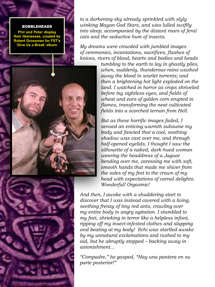## BOBBLEHEADS

**Phil and Peter display their likenesses, created by Robert Grossman for FST's 'Give Us a Break' album.**

*to a darkening sky already sprinkled with slyly winking Mayan God Stars, and was lulled swiftly into sleep, accompanied by the distant roars of feral cats and the seductive hum of insects.*

*My dreams were crowded with jumbled images of ceremonies, incantations, sacrifices, flashes of knives, rivers of blood, hearts and bodies and heads* 

> *tumbling to the earth to lay in ghastly piles, when, suddenly, thunderous rains washed away the blood in scarlet torrents; and then a brightening hot light exploded on the land. I watched in horror as crops shriveled before my sightless eyes, and fields of wheat and ears of golden corn erupted in flames, transforming the neat cultivated fields into a scorched terrain from Hell.*

*But as these horrific images faded, I sensed an enticing warmth subsume my body and fancied that a cool, soothing shadow was cast over me, and through half-opened eyelids, I thought I saw the silhouette of a naked, dark-hued woman wearing the headdress of a Jaguar bending over me, caressing me with soft, smooth hands that made me shiver from the soles of my feet to the crown of my head with expectations of carnal delights. Wonderful! Orgasmic!* 

*And then, I awoke with a shuddering start to discover that I was instead covered with a living, seething frenzy of tiny red ants, crawling over my entire body in angry agitation. I stumbled to my feet, shrieking in terror like a helpless infant, ripping off my insect-infested clothes and slapping and beating at my body! Itchi was startled awake by my unnatural exclamations and rushed to my aid, but he abruptly stopped – backing away in astonishment…*

*"Compadre," he gasped, "Hay una pantera en su parte posterior!"* 



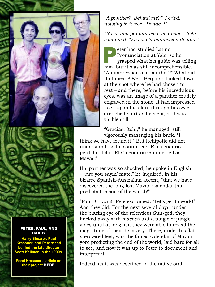

## *"A panther? Behind me?" I cried, twisting in terror. "Donde'?"*

*"No es una pantera viva, mi amigo," Itchi continued. "Es solo la impressión de una."*

Peter had studied Latino<br>
Pronunciation at Yale, so he<br>
grasped what his guide was telling<br>
him but it was still incomprehensible Pronunciation at Yale, so he him, but it was still incomprehensible. "An impression of a panther?" What did that mean? Well, Bergman looked down at the spot where he had chosen to rest – and there, before his incredulous eyes, was an image of a panther crudely engraved in the stone! It had impressed itself upon his skin, through his sweatdrenched shirt as he slept, and was visible still.

"Gracias, Itchi," he managed, still vigorously massaging his back. "I

think we have found it!" But Itchipotle did not understand, so he continued: "El calendario perdido, Itchi! El Calendario Grande de Las Mayas!"

His partner was so shocked, he spoke in English – "Are you sayin' mate," he inquired, in his bizarre Spanish-Australian accent, "that we have discovered the long-lost Mayan Calendar that predicts the end of the world?"

"Fair Dinkum!" Pete exclaimed. "Let's get to work!" And they did. For the next several days, under the blazing eye of the relentless Sun-god, they hacked away with *machetes* at a tangle of jungle vines until at long last they were able to reveal the magnitude of their discovery. There, under his flat sneakered feet, was the fabled calendar of Mayan yore predicting the end of the world, laid bare for all to see, and now it was up to Peter to document and interpret it.

Indeed, as it was described in the native oral

PETER, PAUL, AND HARRY

**Harry Shearer, Paul Krassner, and Pete stand behind the late director Scott Kellman in the 1990s.**

**Read Krassner's article on their project** [HERE](http://www.scpr.org/blogs/offramp/2012/11/28/11282/photos-peter-paul-and-harry-bergman-krassner-and-s/)**.**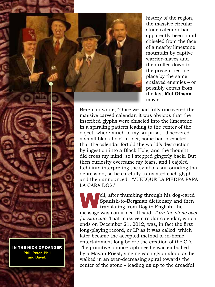history of the region, the massive circular stone calendar had apparently been handchiseled from the face of a nearby limestone mountain by captive warrior-slaves and then rolled down to the present resting place by the same enslaved enemies – or possibly extras from the last **Mel Gibson** movie.

Bergman wrote, "Once we had fully uncovered the massive carved calendar, it was obvious that the inscribed glyphs were chiseled into the limestone in a spiraling pattern leading to the center of the object, where much to my surprise, I discovered a small black hole! In fact, some had predicted that the calendar fortold the world's destruction by ingestion into a Black Hole, and the thought did cross my mind, so I stepped gingerly back. But then curiosity overcame my fears, and I cajoled Itchi into interpreting the symbols surrounding that depression, so he carefully translated each glyph and then announced: 'VUELQUE LA PIEDRA PARA LA CARA DOS.'

ell, after thumbing through his dog-eared<br>Spanish-to-Bergman dictionary and then<br>translating from Dog to English, the Spanish-to-Bergman dictionary and then translating from Dog to English, the message was confirmed. It said, *Turn the stone over for side two*. That massive circular calendar, which ends on December 21, 2012, was, in fact the first long-playing record, or LP as it was called, which later became the accepted method of in-home entertainment long before the creation of the CD. The primitive phonograph needle was embodied by a Mayan Priest, singing each glyph aloud as he walked in an ever-decreasing spiral towards the center of the stone – leading us up to the dreadful

IN THE NICK OF DANGER **Phil, Peter, Phil and David.**